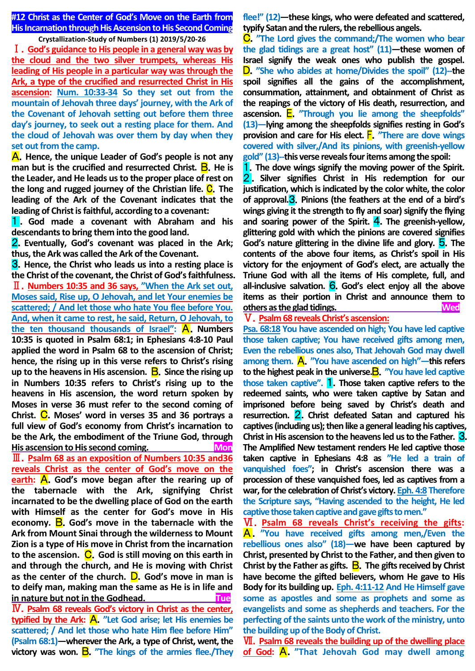**#12 Christ as the Center of God's Move on the Earth from His Incarnation through His Ascension to His Second Coming**

**Crystallization-Study of Numbers (1) 2019/5/20-26** Ⅰ.**God's guidance to His people in a general way was by the cloud and the two silver trumpets, whereas His leading of His people in a particular way was through the Ark, a type of the crucified and resurrected Christ in His ascension: Num. 10:33-34 So they set out from the mountain of Jehovah three days' journey, with the Ark of the Covenant of Jehovah setting out before them three day's journey, to seek out a resting place for them. And the cloud of Jehovah was over them by day when they** 

**set out from the camp.** A.**Hence, the unique Leader of God's people is not any man but is the crucified and resurrected Christ. <b>B**. He is **the Leader, and He leads us to the proper place of rest on the long and rugged journey of the Christian life.** C.**The leading of the Ark of the Covenant indicates that the leading of Christ is faithful, according to a covenant:** 

1 . **God made a covenant with Abraham and his descendants to bring them into the good land.** 

2.**Eventually, God's covenant was placed in the Ark; thus, the Ark was called the Ark of the Covenant.** 

3.**Hence, the Christ who leads us into a resting place is the Christ of the covenant, the Christ of God's faithfulness.** Ⅱ.**Numbers 10:35 and 36 says, "When the Ark set out, Moses said, Rise up, O Jehovah, and let Your enemies be scattered; / And let those who hate You flee before You. And, when it came to rest, he said, Return, O Jehovah, to the ten thousand thousands of Israel":** A.**Numbers 10:35 is quoted in Psalm 68:1; in Ephesians 4:8-10 Paul applied the word in Psalm 68 to the ascension of Christ; hence, the rising up in this verse refers to Christ's rising up to the heavens in His ascension.** B.**Since the rising up in Numbers 10:35 refers to Christ's rising up to the heavens in His ascension, the word return spoken by Moses in verse 36 must refer to the second coming of Christ.** C.**Moses' word in verses 35 and 36 portrays a full view of God's economy from Christ's incarnation to be the Ark, the embodiment of the Triune God, through His ascension to His second coming.** Mon Ⅲ.**Psalm 68 as an exposition of Numbers 10:35 and36 reveals Christ as the center of God's move on the earth:** A.**God's move began after the rearing up of the tabernacle with the Ark, signifying Christ incarnated to be the dwelling place of God on the earth with Himself as the center for God's move in His economy.** B.**God's move in the tabernacle with the Ark from Mount Sinai through the wilderness to Mount Zion is a type of His move in Christ from the incarnation**  to the ascension. C. God is still moving on this earth in **and through the church, and He is moving with Christ as the center of the church.** D.**God's move in man is to deify man, making man the same as He is in life and in nature but not in the Godhead.** The **Tue** Ⅳ.**Psalm 68 reveals God's victory in Christ as the center, typified by the Ark:** A.**"Let God arise; let His enemies be scattered; / And let those who hate Him flee before Him" (Psalm 68:1)—wherever the Ark, a type of Christ, went, the** 

**victory was won.** B.**"The kings of the armies flee./They** 

**flee!" (12)—these kings, who were defeated and scattered, typify Satan and the rulers, the rebellious angels.**

C.**"The Lord gives the command;/The women who bear the glad tidings are a great host" (11)—these women of Israel signify the weak ones who publish the gospel.**  D.**"She who abides at home/Divides the spoil" (12)--the spoil signifies all the gains of the accomplishment, consummation, attainment, and obtainment of Christ as the reapings of the victory of His death, resurrection, and ascension.** E.**"Through you lie among the sheepfolds" (13)—lying among the sheepfolds signifies resting in God's provision and care for His elect.** F.**"There are dove wings covered with silver,/And its pinions, with greenish-yellow gold" (13)--this verse reveals four items among the spoil:**

1.**The dove wings signify the moving power of the Spirit.**  2 . **Silver signifies Christ in His redemption for our justification, which is indicated by the color white, the color of approval.**3.**Pinions (the feathers at the end of a bird's wings giving it the strength to fly and soar) signify the flying and soaring power of the Spirit.** 4.**The greenish-yellow, glittering gold with which the pinions are covered signifies God's nature glittering in the divine life and glory.** 5.**The contents of the above four items, as Christ's spoil in His victory for the enjoyment of God's elect, are actually the Triune God with all the items of His complete, full, and all-inclusive salvation.** 6.**God's elect enjoy all the above items as their portion in Christ and announce them to others as the glad tidings. Wed**

Ⅴ.**Psalm 68 reveals Christ's ascension:**

**Psa. 68:18 You have ascended on high; You have led captive those taken captive; You have received gifts among men, Even the rebellious ones also, That Jehovah God may dwell among them.** A.**"You have ascended on high"—this refers to the highest peak in the universe.**B.**"You have led captive those taken captive".** 1.**Those taken captive refers to the redeemed saints, who were taken captive by Satan and imprisoned before being saved by Christ's death and resurrection.** 2.**Christ defeated Satan and captured his captives (including us); then like a general leading his captives, Christ in His ascension to the heavens led us to the Father.** 3. **The Amplified New testament renders He led captive those taken captive in Ephesians 4:8 as "He led a train of vanquished foes"; in Christ's ascension there was a procession of these vanquished foes, led as captives from a war, for the celebration of Christ's victory. Eph. 4:8 Therefore the Scripture says, "Having ascended to the height, He led captive those taken captive and gave gifts to men."**

Ⅵ.**Psalm 68 reveals Christ's receiving the gifts:**  A.**"You have received gifts among men,/Even the rebellious ones also" (18)—we have been captured by Christ, presented by Christ to the Father, and then given to Christ by the Father as gifts.** B.**The gifts received by Christ have become the gifted believers, whom He gave to His Body for its building up. Eph. 4:11-12 And He Himself gave some as apostles and some as prophets and some as evangelists and some as shepherds and teachers. For the perfecting of the saints unto the work of the ministry, unto the building up of the Body of Christ.**

Ⅶ.**Psalm 68 reveals the building up of the dwelling place of God:** A.**"That Jehovah God may dwell among**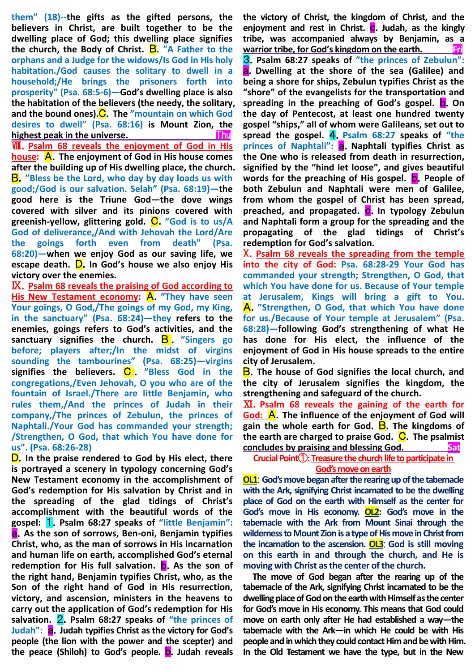**them" (18)--the gifts as the gifted persons, the believers in Christ, are built together to be the dwelling place of God; this dwelling place signifies the church, the Body of Christ.** B.**"A Father to the orphans and a Judge for the widows/Is God in His holy habitation./God causes the solitary to dwell in a household;/He brings the prisoners forth into prosperity" (Psa. 68:5-6)—God's dwelling place is also the habitation of the believers (the needy, the solitary, and the bound ones).**C.**The "mountain on which God desires to dwell" (Psa. 68:16) is Mount Zion, the highest peak in the universe. Thus Thus** Ⅷ.**Psalm 68 reveals the enjoyment of God in His house:** A.**The enjoyment of God in His house comes after the building up of His dwelling place, the church.** B.**"Bless be the Lord, who day by day loads us with good;/God is our salvation. Selah" (Psa. 68:19)—the good here is the Triune God—the dove wings covered with silver and its pinions covered with**  greenish-yellow, glittering gold. C. "God is to us/A **God of deliverance,/And with Jehovah the Lord/Are the goings forth even from death" (Psa. 68:20)—when we enjoy God as our saving life, we escape death.** D.**In God's house we also enjoy His victory over the enemies.**

Ⅸ.**Psalm 68 reveals the praising of God according to His New Testament economy:** A.**"They have seen Your goings, O God,/The goings of my God, my King, in the sanctuary" (Psa. 68:24)—they refers to the enemies, goings refers to God's activities, and the**  sanctuary signifies the church. **B** . "Singers go **before; players after;/In the midst of virgins sounding the tambourines" (Psa. 68:25)—virgins signifies the believers.** C . **"Bless God in the congregations,/Even Jehovah, O you who are of the fountain of Israel./There are little Benjamin, who rules them,/And the princes of Judah in their company,/The princes of Zebulun, the princes of Naphtali./Your God has commanded your strength; /Strengthen, O God, that which You have done for us". (Psa. 68:26-28)**

D.**In the praise rendered to God by His elect, there is portrayed a scenery in typology concerning God's New Testament economy in the accomplishment of God's redemption for His salvation by Christ and in the spreading of the glad tidings of Christ's accomplishment with the beautiful words of the gospel:** 1.**Psalm 68:27 speaks of "little Benjamin":**  a.**As the son of sorrows, Ben-oni, Benjamin typifies Christ, who, as the man of sorrows in His incarnation and human life on earth, accomplished God's eternal redemption for His full salvation.** b.**As the son of the right hand, Benjamin typifies Christ, who, as the Son of the right hand of God in His resurrection, victory, and ascension, ministers in the heavens to carry out the application of God's redemption for His salvation.** 2.**Psalm 68:27 speaks of "the princes of Judah":** a.**Judah typifies Christ as the victory for God's people (the lion with the power and the scepter) and the peace (Shiloh) to God's people.** b.**Judah reveals**  **the victory of Christ, the kingdom of Christ, and the**  enjoyment and rest in Christ. **C**. Judah, as the kingly **tribe, was accompanied always by Benjamin, as a warrior tribe, for God's kingdom on the earth. Fri** 3.**Psalm 68:27 speaks of "the princes of Zebulun":** a.**Dwelling at the shore of the sea (Galilee) and being a shore for ships, Zebulun typifies Christ as the "shore" of the evangelists for the transportation and**  spreading in the preaching of God's gospel. **D**. On **the day of Pentecost, at least one hundred twenty gospel "ships," all of whom were Galileans, set out to spread the gospel.** 4.**Psalm 68:27 speaks of "the princes of Naphtali":** a.**Naphtali typifies Christ as the One who is released from death in resurrection, signified by the "hind let loose", and gives beautiful words for the preaching of His gospel.** b.**People of both Zebulun and Naphtali were men of Galilee, from whom the gospel of Christ has been spread, preached, and propagated.** c.**In typology Zebulun and Naphtali form a group for the spreading and the propagating of the glad tidings of Christ's redemption for God's salvation.**

X.**Psalm 68 reveals the spreading from the temple into the city of God: Psa. 68:28-29 Your God has commanded your strength; Strengthen, O God, that which You have done for us. Because of Your temple at Jerusalem, Kings will bring a gift to You.**  A.**"Strengthen, O God, that which You have done for us./Because of Your temple at Jerusalem" (Psa. 68:28)—following God's strengthening of what He has done for His elect, the influence of the enjoyment of God in His house spreads to the entire city of Jerusalem.**

B.**The house of God signifies the local church, and the city of Jerusalem signifies the kingdom, the strengthening and safeguard of the church.**

Ⅺ.**Psalm 68 reveals the gaining of the earth for God:** A.**The influence of the enjoyment of God will gain the whole earth for God.** B.**The kingdoms of the earth are charged to praise God.** C.**The psalmist <u>concludes by praising and blessing God.</u> Sat** 

**Crucial Point**①**:Treasure the church life to participate in God's move on earth**

**OL1**: **God's move began after the rearing up of the tabernacle with the Ark, signifying Christ incarnated to be the dwelling place of God on the earth with Himself as the center for God's move in His economy. OL2: God's move in the tabernacle with the Ark from Mount Sinai through the wilderness to Mount Zion is a type of His move in Christ from the incarnation to the ascension. OL3**: **God is still moving on this earth in and through the church, and He is moving with Christ as the center of the church.**

**The move of God began after the rearing up of the tabernacle of the Ark, signifying Christ incarnated to be the dwelling place of God on the earth with Himself as the center for God's move in His economy. This means that God could move on earth only after He had established a way—the tabernacle with the Ark—in which He could be with His people and in which they could contact Him and be with Him. In the Old Testament we have the type, but in the New**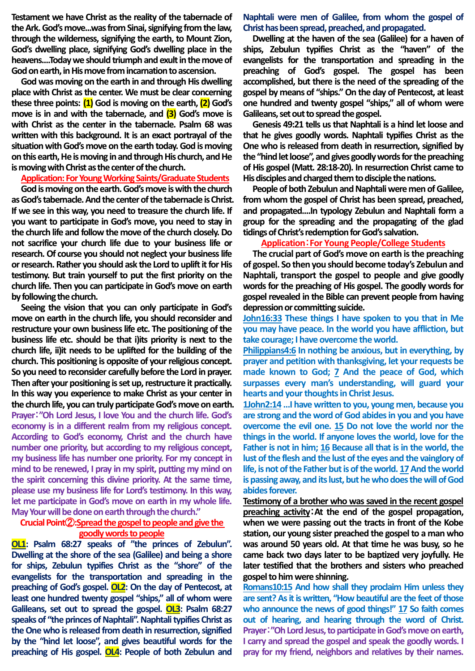**Testament we have Christ as the reality of the tabernacle of the Ark. God's move...was from Sinai, signifying from the law, through the wilderness, signifying the earth, to Mount Zion, God's dwelling place, signifying God's dwelling place in the heavens....Today we should triumph and exult in the move of God on earth, in His move from incarnation to ascension.** 

**God was moving on the earth in and through His dwelling place with Christ as the center. We must be clear concerning these three points: (1) God is moving on the earth, (2) God's move is in and with the tabernacle, and (3) God's move is with Christ as the center in the tabernacle. Psalm 68 was written with this background. It is an exact portrayal of the situation with God's move on the earth today. God is moving on this earth, He is moving in and through His church, and He is moving with Christ as the center of the church.** 

#### **Application: For Young Working Saints/Graduate Students**

**God is moving on the earth. God's move is with the church as God's tabernacle. And the center of the tabernacle is Christ. If we see in this way, you need to treasure the church life. If you want to participate in God's move, you need to stay in the church life and follow the move of the church closely. Do not sacrifice your church life due to your business life or research. Of course you should not neglect your business life or research. Rather you should ask the Lord to uplift it for His testimony. But train yourself to put the first priority on the church life. Then you can participate in God's move on earth by following the church.** 

**Seeing the vision that you can only participate in God's move on earth in the church life, you should reconsider and restructure your own business life etc. The positioning of the business life etc. should be that i)its priority is next to the church life, ii)it needs to be uplifted for the building of the church. This positioning is opposite of your religious concept. So you need to reconsider carefully before the Lord in prayer. Then after your positioning is set up, restructure it practically. In this way you experience to make Christ as your center in the church life, you can truly participate God's move on earth. Prayer**:**"Oh Lord Jesus, I love You and the church life. God's economy is in a different realm from my religious concept. According to God's economy, Christ and the church have number one priority, but according to my religious concept, my business life has number one priority. For my concept in mind to be renewed, I pray in my spirit, putting my mind on the spirit concerning this divine priority. At the same time, please use my business life for Lord's testimony. In this way, let me participate in God's move on earth in my whole life. May Your will be done on earth through the church."**

#### **Crucial Point**②**:Spread the gospel to people and give the goodly words to people**

**OL1: Psalm 68:27 speaks of "the princes of Zebulun". Dwelling at the shore of the sea (Galilee) and being a shore for ships, Zebulun typifies Christ as the "shore" of the evangelists for the transportation and spreading in the preaching of God's gospel. OL2: On the day of Pentecost, at least one hundred twenty gospel "ships," all of whom were Galileans, set out to spread the gospel. OL3: Psalm 68:27 speaks of "the princes of Naphtali". Naphtali typifies Christ as the One who is released from death in resurrection, signified by the "hind let loose", and gives beautiful words for the preaching of His gospel. OL4: People of both Zebulun and** 

**Naphtali were men of Galilee, from whom the gospel of Christ has been spread, preached, and propagated.**

**Dwelling at the haven of the sea (Galilee) for a haven of ships, Zebulun typifies Christ as the "haven" of the evangelists for the transportation and spreading in the preaching of God's gospel. The gospel has been accomplished, but there is the need of the spreading of the gospel by means of "ships." On the day of Pentecost, atleast one hundred and twenty gospel "ships," all of whom were Galileans, set out to spread the gospel.**

**Genesis 49:21 tells us that Naphtali is a hind let loose and that he gives goodly words. Naphtali typifies Christ as the One who is released from death in resurrection, signified by the "hind let loose", and gives goodly words for the preaching of His gospel (Matt. 28:18-20). In resurrection Christ came to His disciples and charged them to disciple the nations.**

**People of both Zebulun and Naphtali were men of Galilee, from whom the gospel of Christ has been spread, preached, and propagated....In typology Zebulun and Naphtali form a group for the spreading and the propagating of the glad tidings of Christ's redemption for God's salvation.**

#### **Application**:**For Young People/College Students**

**The crucial part of God's move on earth is the preaching of gospel. So then you should become today's Zebulun and Naphtali, transport the gospel to people and give goodly words for the preaching of His gospel. The goodly words for gospel revealed in the Bible can prevent people from having depression or committing suicide.**

**John16:33 These things I have spoken to you that in Me you may have peace. In the world you have affliction, but take courage; I have overcome the world.**

**Philippians4:6 In nothing be anxious, but in everything, by prayer and petition with thanksgiving, let your requests be made known to God; 7 And the peace of God, which surpasses every man's understanding, will guard your hearts and your thoughts in Christ Jesus.**

**1John2:14 …I have written to you, young men, because you are strong and the word of God abides in you and you have overcome the evil one. 15 Do not love the world nor the things in the world. If anyone loves the world, love for the Father is not in him; 16 Because all that is in the world, the lust of the flesh and the lust of the eyes and the vainglory of life, is not of the Father but is of the world. 17And the world is passing away, and its lust, but he who does the will of God abides forever.**

**Testimony of a brother who was saved in the recent gospel preaching activity**:**At the end of the gospel propagation, when we were passing out the tracts in front of the Kobe station, our young sister preached the gospel to a man who was around 50 years old. At that time he was busy, so he came back two days later to be baptized very joyfully. He later testified that the brothers and sisters who preached gospel to him were shinning.** 

**Romans10:15 And how shall they proclaim Him unless they are sent? As it is written, "How beautiful are the feet of those who announce the news of good things!" 17 So faith comes out of hearing, and hearing through the word of Christ. Prayer**:**"Oh Lord Jesus, to participate in God's move on earth, I carry and spread the gospel and speak the goodly words. I pray for my friend, neighbors and relatives by their names.**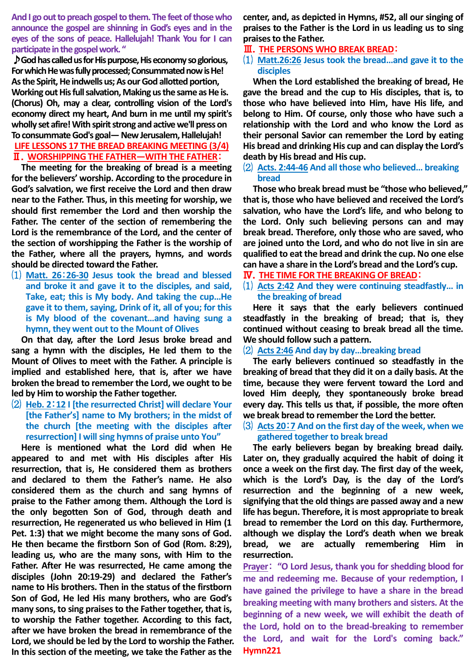**And I go out to preach gospel to them. The feet of those who announce the gospel are shinning in God's eyes and in the eyes of the sons of peace. Hallelujah! Thank You for I can participate inthe gospelwork. "**

♪**God has called us for His purpose, His economyso glorious, For which He was fully processed; Consummated now is He! As the Spirit, He indwells us; As our God allotted portion, Working out His full salvation, Making us the same as He is. (Chorus) Oh, may a clear, controlling vision of the Lord's economy direct my heart, And burn in me until my spirit's wholly set afire! With spirit strong and active we'll press on To consummate God's goal—New Jerusalem, Hallelujah!**

# **LIFE LESSONS 17 THE BREAD BREAKING MEETING (3/4)** Ⅱ.**WORSHIPPING THE FATHER―WITH THE FATHER**:

**The meeting for the breaking of bread is a meeting for the believers' worship. According to the procedure in God's salvation, we first receive the Lord and then draw near to the Father. Thus, in this meeting for worship, we should first remember the Lord and then worship the Father. The center of the section of remembering the Lord is the remembrance of the Lord, and the center of the section of worshipping the Father is the worship of the Father, where all the prayers, hymns, and words should be directed toward the Father.**

⑴ **Matt. 26**:**26-30 Jesus took the bread and blessed and broke it and gave it to the disciples, and said, Take, eat; this is My body. And taking the cup…He gave it to them, saying, Drink of it, all of you; for this is My blood of the covenant…and having sung a hymn, they went out to the Mount of Olives**

**On that day, after the Lord Jesus broke bread and sang a hymn with the disciples, He led them to the Mount of Olives to meet with the Father. A principle is implied and established here, that is, after we have broken the bread to remember the Lord, we ought to be led by Him to worship the Father together.**

⑵ **Heb. 2**:**12 I [the resurrected Christ] will declare Your [the Father's] name to My brothers; in the midst of the church [the meeting with the disciples after resurrection] I will sing hymns of praise unto You"**

**Here is mentioned what the Lord did when He appeared to and met with His disciples after His resurrection, that is, He considered them as brothers and declared to them the Father's name. He also considered them as the church and sang hymns of praise to the Father among them. Although the Lord is the only begotten Son of God, through death and resurrection, He regenerated us who believed in Him (1 Pet. 1:3) that we might become the many sons of God. He then became the firstborn Son of God (Rom. 8:29), leading us, who are the many sons, with Him to the Father. After He was resurrected, He came among the disciples (John 20:19-29) and declared the Father's name to His brothers. Then in the status of the firstborn Son of God, He led His many brothers, who are God's many sons, to sing praises to the Father together, that is, to worship the Father together. According to this fact, after we have broken the bread in remembrance of the Lord, we should be led by the Lord to worship the Father. In this section of the meeting, we take the Father as the** 

**center, and, as depicted in Hymns, #52, all our singing of praises to the Father is the Lord in us leading us to sing praises to the Father.**

### Ⅲ.**THE PERSONS WHO BREAK BREAD**:

### ⑴ **Matt.26:26 Jesus took the bread…and gave it to the disciples**

**When the Lord established the breaking of bread, He gave the bread and the cup to His disciples, that is, to those who have believed into Him, have His life, and belong to Him. Of course, only those who have such a relationship with the Lord and who know the Lord as their personal Savior can remember the Lord by eating His bread and drinking His cup and can display the Lord's death by His bread and His cup.**

## ⑵ **Acts. 2:44-46 And all those who believed… breaking bread**

**Those who break bread must be "those who believed," that is, those who have believed and received the Lord's salvation, who have the Lord's life, and who belong to the Lord. Only such believing persons can and may break bread. Therefore, only those who are saved, who are joined unto the Lord, and who do not live in sin are qualified to eat the bread and drink the cup. No one else can have a share in the Lord's bread and the Lord's cup.**

- Ⅳ.**THE TIME FOR THE BREAKING OF BREAD**:
- ⑴ **Acts 2:42 And they were continuing steadfastly… in the breaking of bread**

**Here it says that the early believers continued steadfastly in the breaking of bread; that is, they continued without ceasing to break bread all the time. We should follow such a pattern.**

#### ⑵ **Acts 2:46 And day by day…breaking bread**

**The early believers continued so steadfastly in the breaking of bread that they did it on a daily basis. At the time, because they were fervent toward the Lord and loved Him deeply, they spontaneously broke bread every day. This tells us that, if possible, the more often we break bread to remember the Lord the better.**

# ⑶ **Acts 20**:**7 And on the first day of the week, when we gathered together to break bread**

**The early believers began by breaking bread daily. Later on, they gradually acquired the habit of doing it once a week on the first day. The first day of the week, which is the Lord's Day, is the day of the Lord's resurrection and the beginning of a new week, signifying that the old things are passed away and a new life has begun. Therefore, it is most appropriate to break bread to remember the Lord on this day. Furthermore, although we display the Lord's death when we break bread, we are actually remembering Him in resurrection.**

**Prayer**: **"O Lord Jesus, thank you for shedding blood for me and redeeming me. Because of your redemption, I have gained the privilege to have a share in the bread breaking meeting with many brothers and sisters. At the beginning of a new week, we will exhibit the death of the Lord, hold on to the bread-breaking to remember the Lord, and wait for the Lord's coming back." Hymn221**